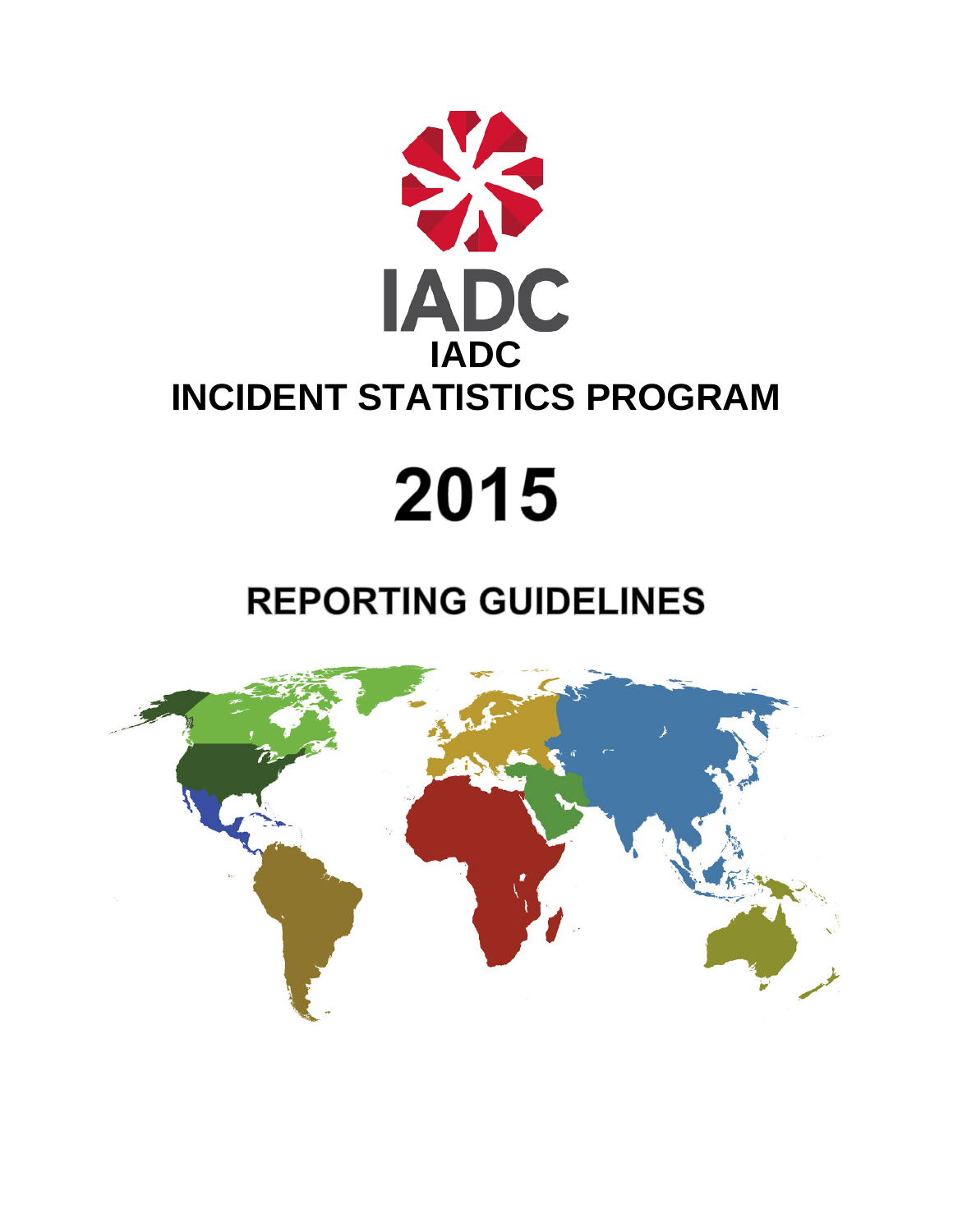

# 2015

# **REPORTING GUIDELINES**

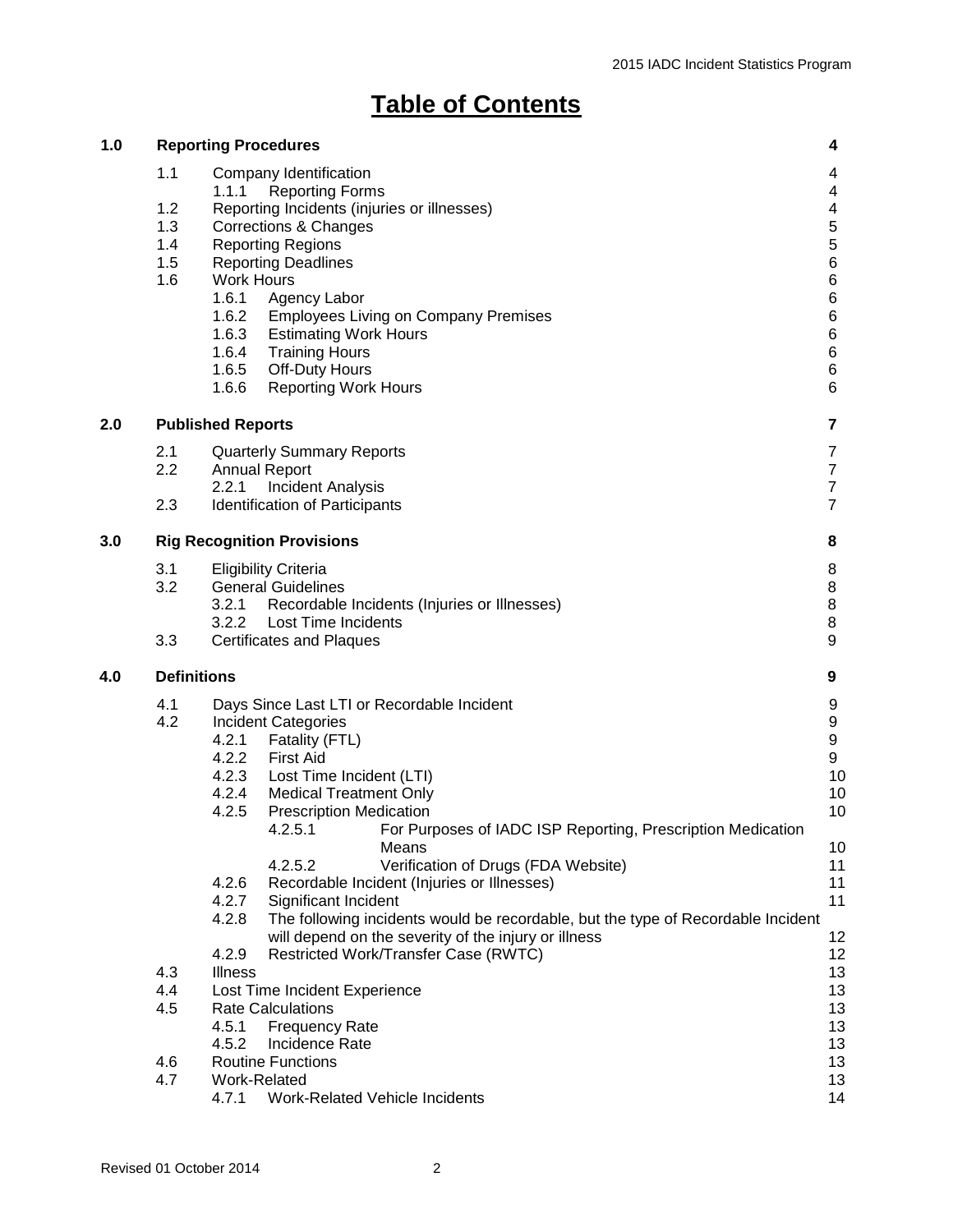# **Table of Contents**

| 1.0 |                                        | <b>Reporting Procedures</b>                                                                                                                                                                                                                                                                                                                                                                                                                     | 4                                                                                                               |
|-----|----------------------------------------|-------------------------------------------------------------------------------------------------------------------------------------------------------------------------------------------------------------------------------------------------------------------------------------------------------------------------------------------------------------------------------------------------------------------------------------------------|-----------------------------------------------------------------------------------------------------------------|
|     | 1.1<br>1.2<br>1.3<br>1.4<br>1.5<br>1.6 | Company Identification<br><b>Reporting Forms</b><br>1.1.1<br>Reporting Incidents (injuries or illnesses)<br>Corrections & Changes<br><b>Reporting Regions</b><br><b>Reporting Deadlines</b><br><b>Work Hours</b><br>1.6.1<br>Agency Labor<br>1.6.2<br><b>Employees Living on Company Premises</b><br>1.6.3<br><b>Estimating Work Hours</b><br>1.6.4<br><b>Training Hours</b><br>1.6.5<br>Off-Duty Hours<br>1.6.6<br><b>Reporting Work Hours</b> | 4<br>4<br>$\overline{\mathbf{4}}$<br>5<br>$\mathbf 5$<br>6<br>6<br>6<br>$\,6$<br>$\,6\,$<br>$\,6$<br>$\,6$<br>6 |
| 2.0 | 7<br><b>Published Reports</b>          |                                                                                                                                                                                                                                                                                                                                                                                                                                                 |                                                                                                                 |
|     | 2.1<br>2.2<br>2.3                      | <b>Quarterly Summary Reports</b><br><b>Annual Report</b><br>2.2.1<br><b>Incident Analysis</b><br>Identification of Participants                                                                                                                                                                                                                                                                                                                 | $\overline{7}$<br>$\boldsymbol{7}$<br>$\overline{7}$<br>$\overline{7}$                                          |
| 3.0 |                                        | <b>Rig Recognition Provisions</b>                                                                                                                                                                                                                                                                                                                                                                                                               | 8                                                                                                               |
|     | 3.1<br>3.2<br>3.3                      | <b>Eligibility Criteria</b><br><b>General Guidelines</b><br>3.2.1<br>Recordable Incidents (Injuries or Illnesses)<br><b>Lost Time Incidents</b><br>3.2.2<br><b>Certificates and Plaques</b>                                                                                                                                                                                                                                                     | 8<br>8<br>$\bf 8$<br>$\bf 8$<br>9                                                                               |
|     | <b>Definitions</b>                     |                                                                                                                                                                                                                                                                                                                                                                                                                                                 | 9                                                                                                               |
| 4.0 | 4.1<br>4.2                             | Days Since Last LTI or Recordable Incident<br><b>Incident Categories</b><br>4.2.1<br>Fatality (FTL)<br>4.2.2<br>First Aid<br>4.2.3<br>Lost Time Incident (LTI)<br>4.2.4<br><b>Medical Treatment Only</b><br>4.2.5<br><b>Prescription Medication</b>                                                                                                                                                                                             | 9<br>9<br>$\boldsymbol{9}$<br>9<br>10<br>10<br>10                                                               |
|     |                                        | For Purposes of IADC ISP Reporting, Prescription Medication<br>4.2.5.1<br>Means<br>4.2.5.2<br>Verification of Drugs (FDA Website)<br>4.2.6<br>Recordable Incident (Injuries or Illnesses)<br>4.2.7<br>Significant Incident<br>4.2.8<br>The following incidents would be recordable, but the type of Recordable Incident<br>will depend on the severity of the injury or illness<br>4.2.9<br>Restricted Work/Transfer Case (RWTC)                | 10<br>11<br>11<br>11<br>12<br>12                                                                                |
|     | 4.3<br>4.4<br>4.5                      | <b>Illness</b><br>Lost Time Incident Experience<br><b>Rate Calculations</b><br>4.5.1<br><b>Frequency Rate</b><br>4.5.2<br>Incidence Rate                                                                                                                                                                                                                                                                                                        | 13<br>13<br>13<br>13<br>13                                                                                      |
|     | 4.6<br>4.7                             | <b>Routine Functions</b><br>Work-Related<br>4.7.1<br>Work-Related Vehicle Incidents                                                                                                                                                                                                                                                                                                                                                             | 13<br>13<br>14                                                                                                  |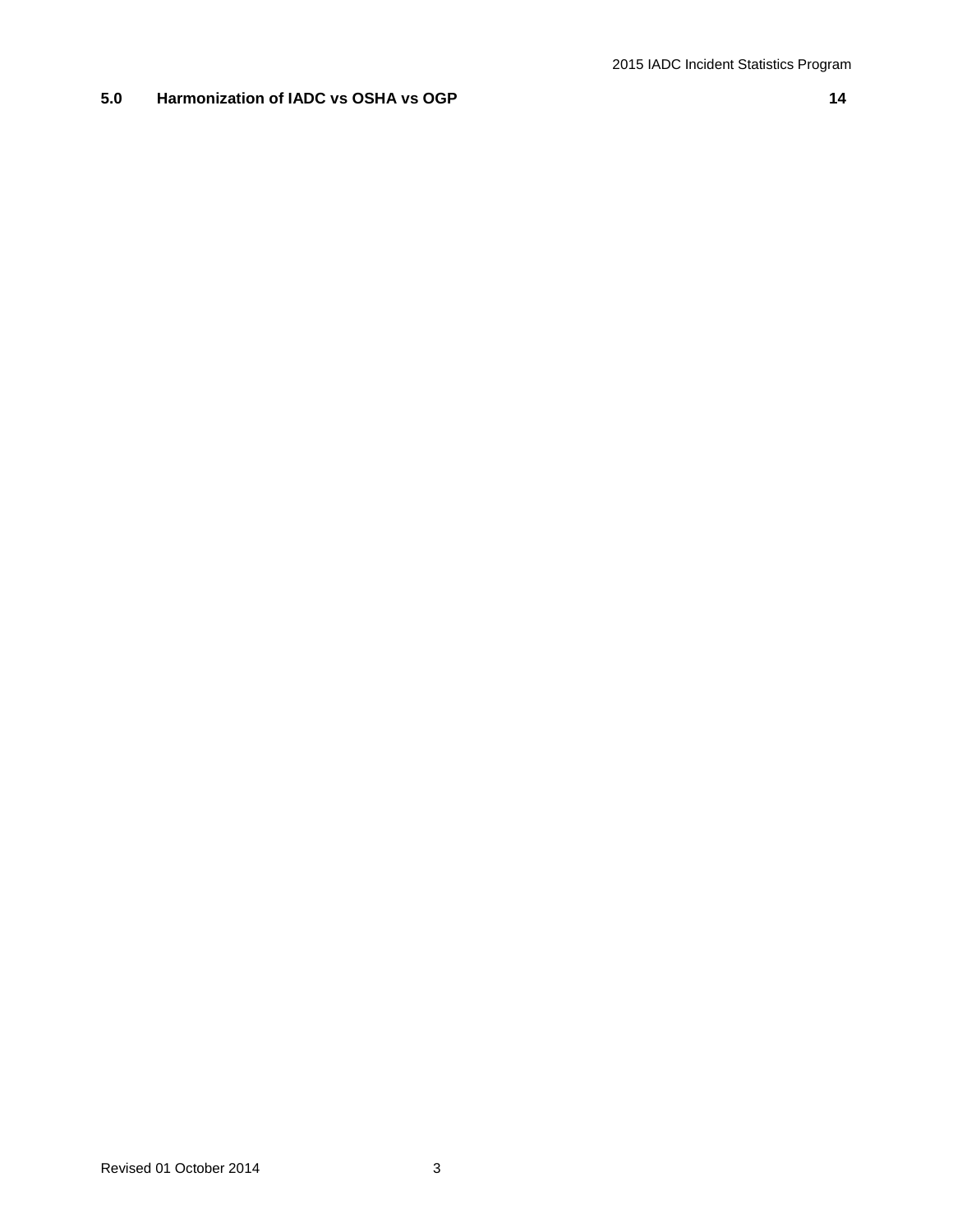# **5.0 Harmonization of IADC vs OSHA vs OGP 14**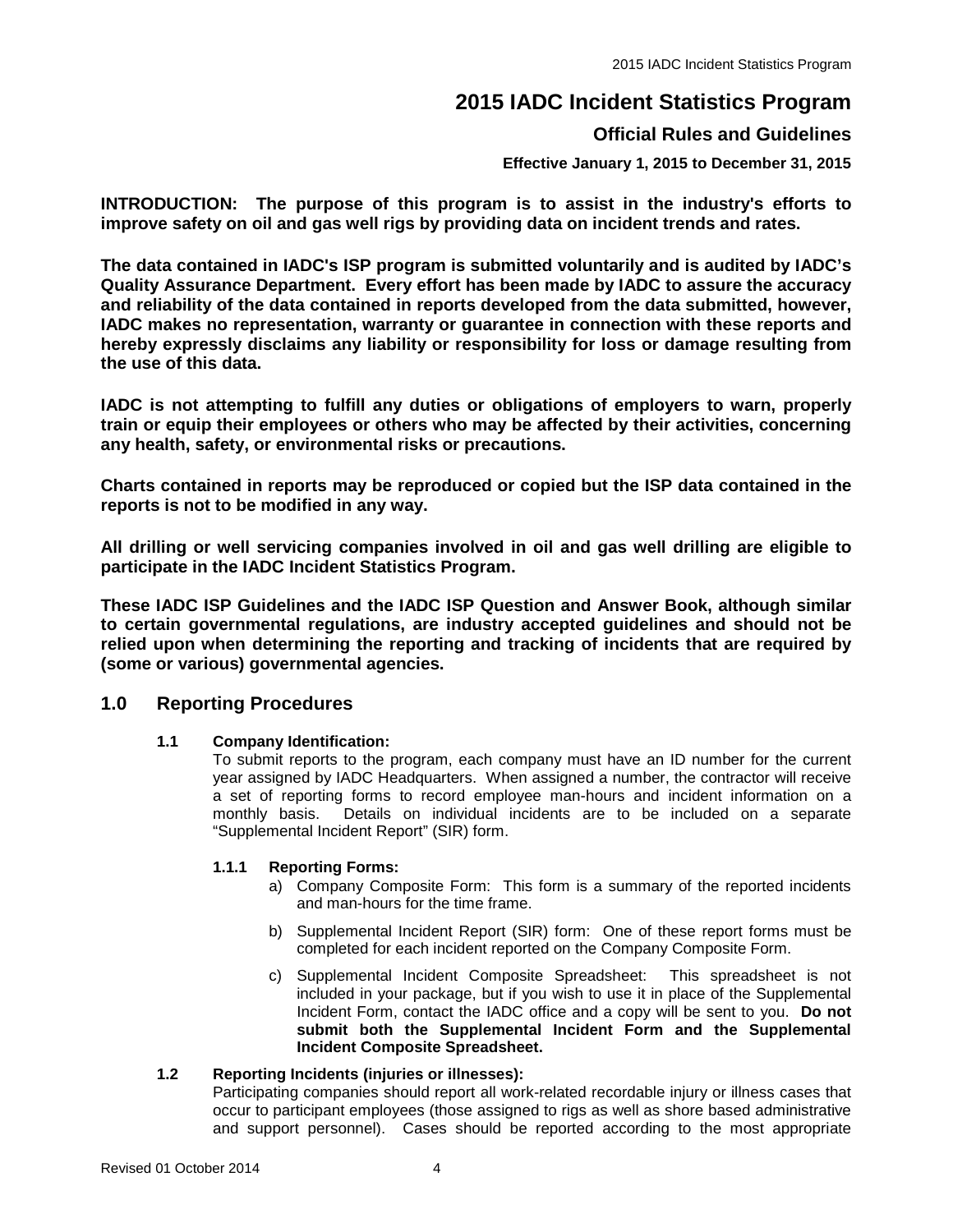# **2015 IADC Incident Statistics Program**

# **Official Rules and Guidelines**

**Effective January 1, 2015 to December 31, 2015**

**INTRODUCTION: The purpose of this program is to assist in the industry's efforts to improve safety on oil and gas well rigs by providing data on incident trends and rates.** 

**The data contained in IADC's ISP program is submitted voluntarily and is audited by IADC's Quality Assurance Department. Every effort has been made by IADC to assure the accuracy and reliability of the data contained in reports developed from the data submitted, however, IADC makes no representation, warranty or guarantee in connection with these reports and hereby expressly disclaims any liability or responsibility for loss or damage resulting from the use of this data.**

**IADC is not attempting to fulfill any duties or obligations of employers to warn, properly train or equip their employees or others who may be affected by their activities, concerning any health, safety, or environmental risks or precautions.**

**Charts contained in reports may be reproduced or copied but the ISP data contained in the reports is not to be modified in any way.**

**All drilling or well servicing companies involved in oil and gas well drilling are eligible to participate in the IADC Incident Statistics Program.** 

**These IADC ISP Guidelines and the IADC ISP Question and Answer Book, although similar to certain governmental regulations, are industry accepted guidelines and should not be relied upon when determining the reporting and tracking of incidents that are required by (some or various) governmental agencies.**

# **1.0 Reporting Procedures**

# **1.1 Company Identification:**

To submit reports to the program, each company must have an ID number for the current year assigned by IADC Headquarters. When assigned a number, the contractor will receive a set of reporting forms to record employee man-hours and incident information on a monthly basis. Details on individual incidents are to be included on a separate "Supplemental Incident Report" (SIR) form.

# **1.1.1 Reporting Forms:**

- a) Company Composite Form: This form is a summary of the reported incidents and man-hours for the time frame.
- b) Supplemental Incident Report (SIR) form: One of these report forms must be completed for each incident reported on the Company Composite Form.
- c) Supplemental Incident Composite Spreadsheet: This spreadsheet is not included in your package, but if you wish to use it in place of the Supplemental Incident Form, contact the IADC office and a copy will be sent to you. **Do not submit both the Supplemental Incident Form and the Supplemental Incident Composite Spreadsheet.**

# **1.2 Reporting Incidents (injuries or illnesses):**

Participating companies should report all work-related recordable injury or illness cases that occur to participant employees (those assigned to rigs as well as shore based administrative and support personnel). Cases should be reported according to the most appropriate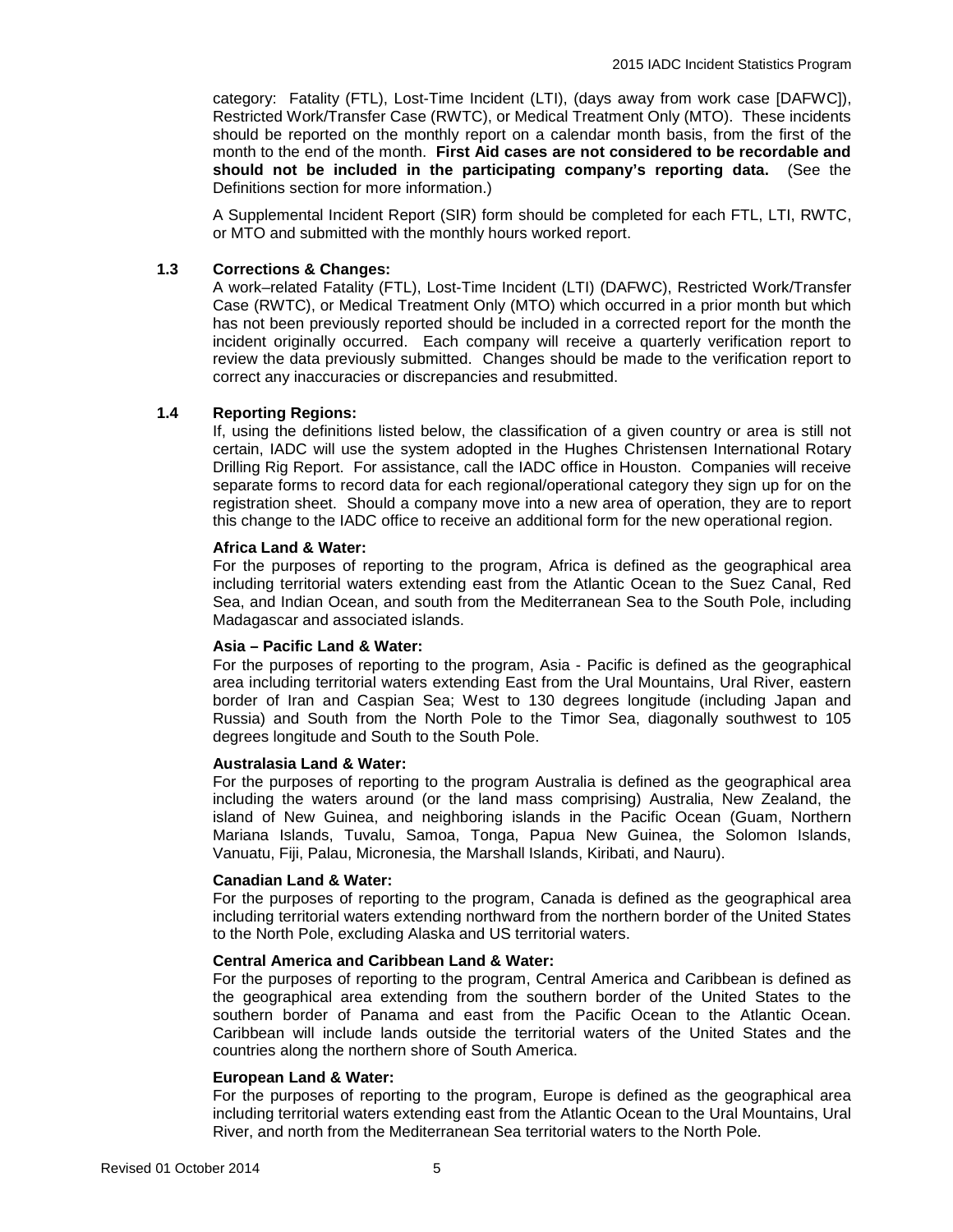category: Fatality (FTL), Lost-Time Incident (LTI), (days away from work case [DAFWC]), Restricted Work/Transfer Case (RWTC), or Medical Treatment Only (MTO). These incidents should be reported on the monthly report on a calendar month basis, from the first of the month to the end of the month. **First Aid cases are not considered to be recordable and should not be included in the participating company's reporting data.** (See the Definitions section for more information.)

A Supplemental Incident Report (SIR) form should be completed for each FTL, LTI, RWTC, or MTO and submitted with the monthly hours worked report.

# **1.3 Corrections & Changes:**

A work–related Fatality (FTL), Lost-Time Incident (LTI) (DAFWC), Restricted Work/Transfer Case (RWTC), or Medical Treatment Only (MTO) which occurred in a prior month but which has not been previously reported should be included in a corrected report for the month the incident originally occurred. Each company will receive a quarterly verification report to review the data previously submitted. Changes should be made to the verification report to correct any inaccuracies or discrepancies and resubmitted.

# **1.4 Reporting Regions:**

If, using the definitions listed below, the classification of a given country or area is still not certain, IADC will use the system adopted in the Hughes Christensen International Rotary Drilling Rig Report. For assistance, call the IADC office in Houston. Companies will receive separate forms to record data for each regional/operational category they sign up for on the registration sheet. Should a company move into a new area of operation, they are to report this change to the IADC office to receive an additional form for the new operational region.

# **Africa Land & Water:**

For the purposes of reporting to the program, Africa is defined as the geographical area including territorial waters extending east from the Atlantic Ocean to the Suez Canal, Red Sea, and Indian Ocean, and south from the Mediterranean Sea to the South Pole, including Madagascar and associated islands.

# **Asia – Pacific Land & Water:**

For the purposes of reporting to the program, Asia - Pacific is defined as the geographical area including territorial waters extending East from the Ural Mountains, Ural River, eastern border of Iran and Caspian Sea; West to 130 degrees longitude (including Japan and Russia) and South from the North Pole to the Timor Sea, diagonally southwest to 105 degrees longitude and South to the South Pole.

# **Australasia Land & Water:**

For the purposes of reporting to the program Australia is defined as the geographical area including the waters around (or the land mass comprising) Australia, New Zealand, the island of New Guinea, and neighboring islands in the Pacific Ocean (Guam, Northern Mariana Islands, Tuvalu, Samoa, Tonga, Papua New Guinea, the Solomon Islands, Vanuatu, Fiji, Palau, Micronesia, the Marshall Islands, Kiribati, and Nauru).

# **Canadian Land & Water:**

For the purposes of reporting to the program, Canada is defined as the geographical area including territorial waters extending northward from the northern border of the United States to the North Pole, excluding Alaska and US territorial waters.

# **Central America and Caribbean Land & Water:**

For the purposes of reporting to the program, Central America and Caribbean is defined as the geographical area extending from the southern border of the United States to the southern border of Panama and east from the Pacific Ocean to the Atlantic Ocean. Caribbean will include lands outside the territorial waters of the United States and the countries along the northern shore of South America.

# **European Land & Water:**

For the purposes of reporting to the program, Europe is defined as the geographical area including territorial waters extending east from the Atlantic Ocean to the Ural Mountains, Ural River, and north from the Mediterranean Sea territorial waters to the North Pole.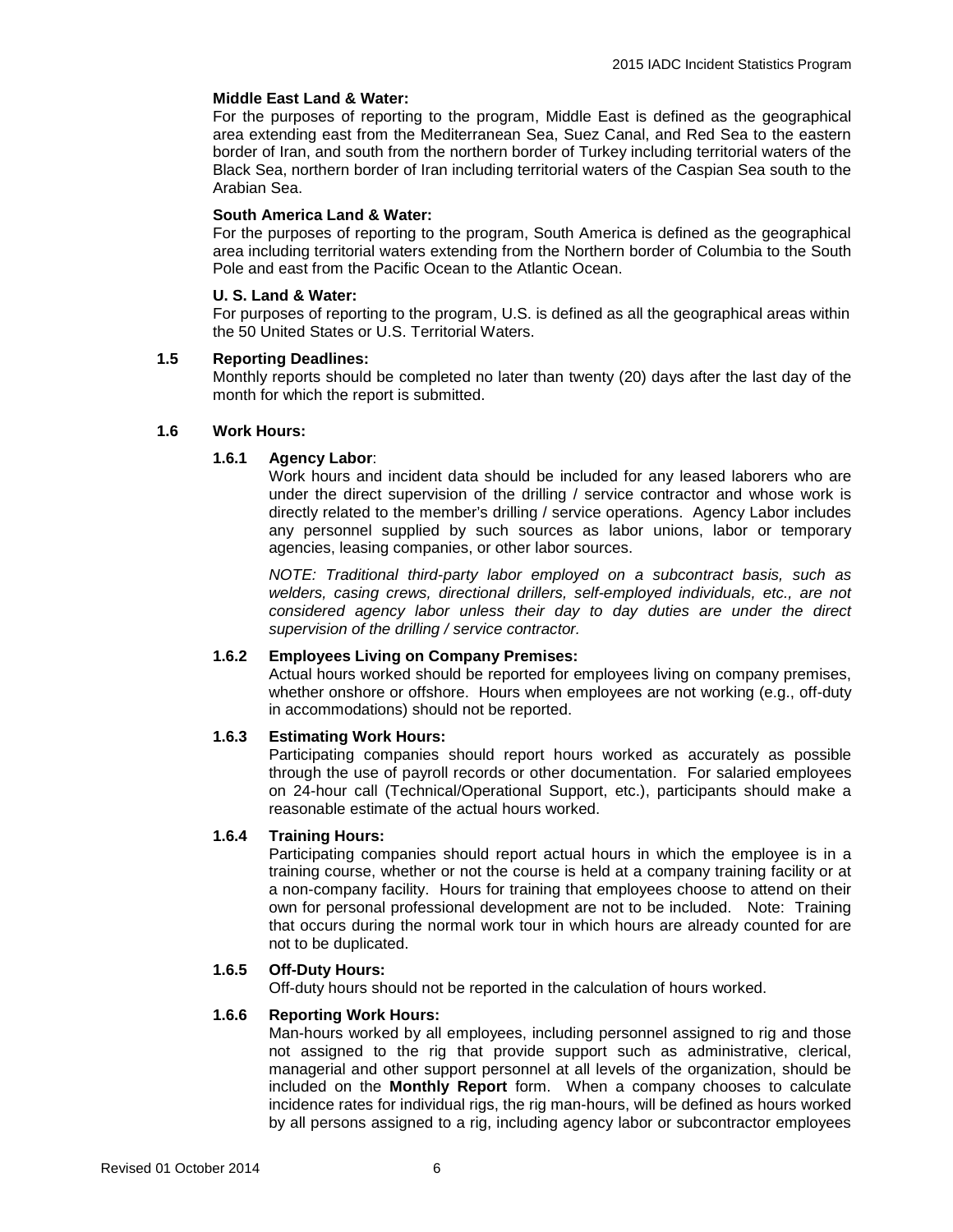# **Middle East Land & Water:**

For the purposes of reporting to the program, Middle East is defined as the geographical area extending east from the Mediterranean Sea, Suez Canal, and Red Sea to the eastern border of Iran, and south from the northern border of Turkey including territorial waters of the Black Sea, northern border of Iran including territorial waters of the Caspian Sea south to the Arabian Sea.

# **South America Land & Water:**

For the purposes of reporting to the program, South America is defined as the geographical area including territorial waters extending from the Northern border of Columbia to the South Pole and east from the Pacific Ocean to the Atlantic Ocean.

# **U. S. Land & Water:**

For purposes of reporting to the program, U.S. is defined as all the geographical areas within the 50 United States or U.S. Territorial Waters.

# **1.5 Reporting Deadlines:**

Monthly reports should be completed no later than twenty (20) days after the last day of the month for which the report is submitted.

# **1.6 Work Hours:**

# **1.6.1 Agency Labor**:

Work hours and incident data should be included for any leased laborers who are under the direct supervision of the drilling / service contractor and whose work is directly related to the member's drilling / service operations. Agency Labor includes any personnel supplied by such sources as labor unions, labor or temporary agencies, leasing companies, or other labor sources.

*NOTE: Traditional third-party labor employed on a subcontract basis, such as welders, casing crews, directional drillers, self-employed individuals, etc., are not considered agency labor unless their day to day duties are under the direct supervision of the drilling / service contractor.*

# **1.6.2 Employees Living on Company Premises:**

Actual hours worked should be reported for employees living on company premises, whether onshore or offshore. Hours when employees are not working (e.g., off-duty in accommodations) should not be reported.

# **1.6.3 Estimating Work Hours:**

Participating companies should report hours worked as accurately as possible through the use of payroll records or other documentation. For salaried employees on 24-hour call (Technical/Operational Support, etc.), participants should make a reasonable estimate of the actual hours worked.

# **1.6.4 Training Hours:**

Participating companies should report actual hours in which the employee is in a training course, whether or not the course is held at a company training facility or at a non-company facility. Hours for training that employees choose to attend on their own for personal professional development are not to be included. Note: Training that occurs during the normal work tour in which hours are already counted for are not to be duplicated.

# **1.6.5 Off-Duty Hours:**

Off-duty hours should not be reported in the calculation of hours worked.

# **1.6.6 Reporting Work Hours:**

Man-hours worked by all employees, including personnel assigned to rig and those not assigned to the rig that provide support such as administrative, clerical, managerial and other support personnel at all levels of the organization, should be included on the **Monthly Report** form. When a company chooses to calculate incidence rates for individual rigs, the rig man-hours, will be defined as hours worked by all persons assigned to a rig, including agency labor or subcontractor employees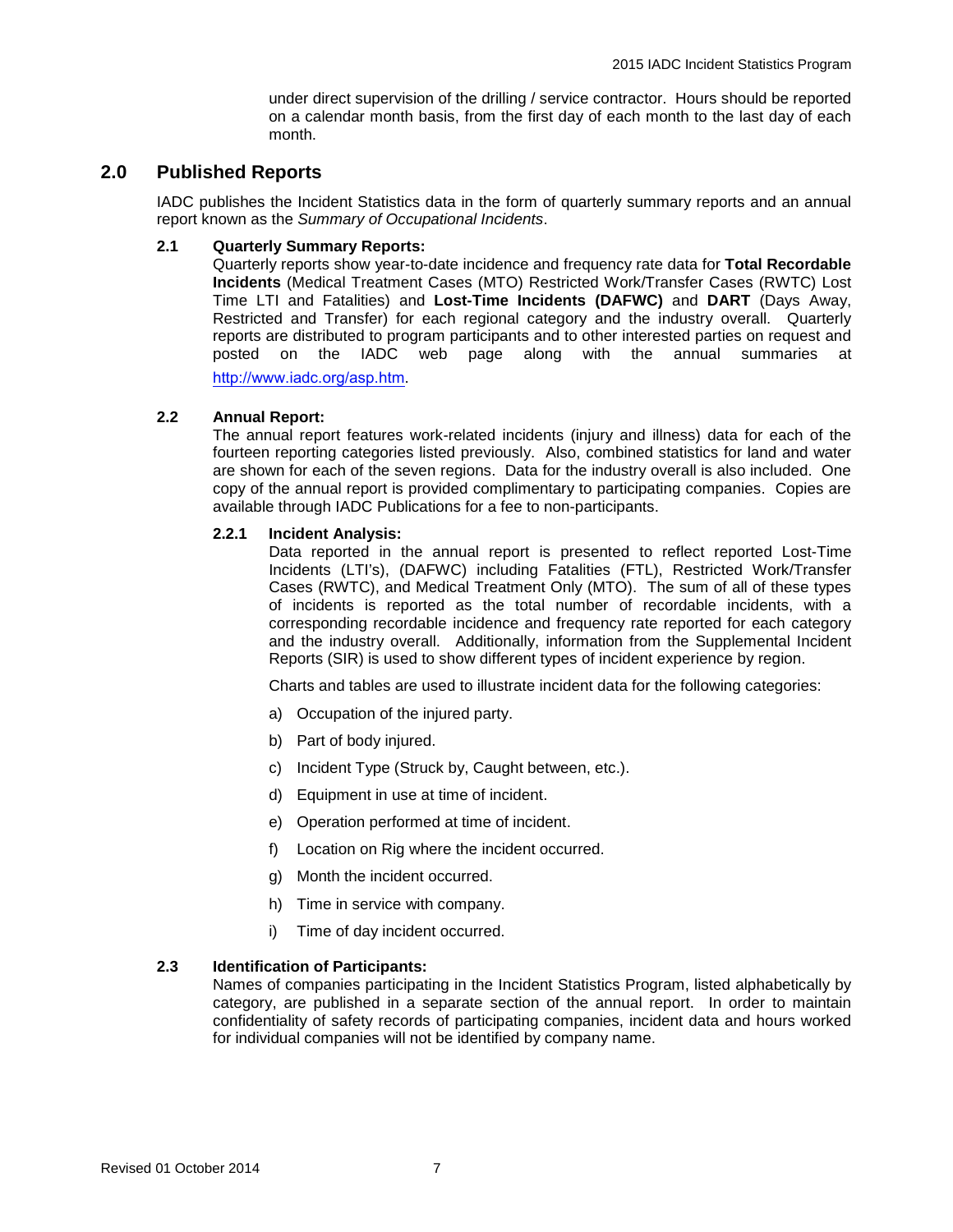under direct supervision of the drilling / service contractor. Hours should be reported on a calendar month basis, from the first day of each month to the last day of each month.

# **2.0 Published Reports**

IADC publishes the Incident Statistics data in the form of quarterly summary reports and an annual report known as the *Summary of Occupational Incidents*.

# **2.1 Quarterly Summary Reports:**

Quarterly reports show year-to-date incidence and frequency rate data for **Total Recordable Incidents** (Medical Treatment Cases (MTO) Restricted Work/Transfer Cases (RWTC) Lost Time LTI and Fatalities) and **Lost-Time Incidents (DAFWC)** and **DART** (Days Away, Restricted and Transfer) for each regional category and the industry overall. Quarterly reports are distributed to program participants and to other interested parties on request and posted on the IADC web page along with the annual summaries at

<http://www.iadc.org/asp.htm>.

# **2.2 Annual Report:**

The annual report features work-related incidents (injury and illness) data for each of the fourteen reporting categories listed previously. Also, combined statistics for land and water are shown for each of the seven regions. Data for the industry overall is also included. One copy of the annual report is provided complimentary to participating companies. Copies are available through IADC Publications for a fee to non-participants.

# **2.2.1 Incident Analysis:**

Data reported in the annual report is presented to reflect reported Lost-Time Incidents (LTI's), (DAFWC) including Fatalities (FTL), Restricted Work/Transfer Cases (RWTC), and Medical Treatment Only (MTO). The sum of all of these types of incidents is reported as the total number of recordable incidents, with a corresponding recordable incidence and frequency rate reported for each category and the industry overall. Additionally, information from the Supplemental Incident Reports (SIR) is used to show different types of incident experience by region.

Charts and tables are used to illustrate incident data for the following categories:

- a) Occupation of the injured party.
- b) Part of body injured.
- c) Incident Type (Struck by, Caught between, etc.).
- d) Equipment in use at time of incident.
- e) Operation performed at time of incident.
- f) Location on Rig where the incident occurred.
- g) Month the incident occurred.
- h) Time in service with company.
- i) Time of day incident occurred.

# **2.3 Identification of Participants:**

Names of companies participating in the Incident Statistics Program, listed alphabetically by category, are published in a separate section of the annual report. In order to maintain confidentiality of safety records of participating companies, incident data and hours worked for individual companies will not be identified by company name.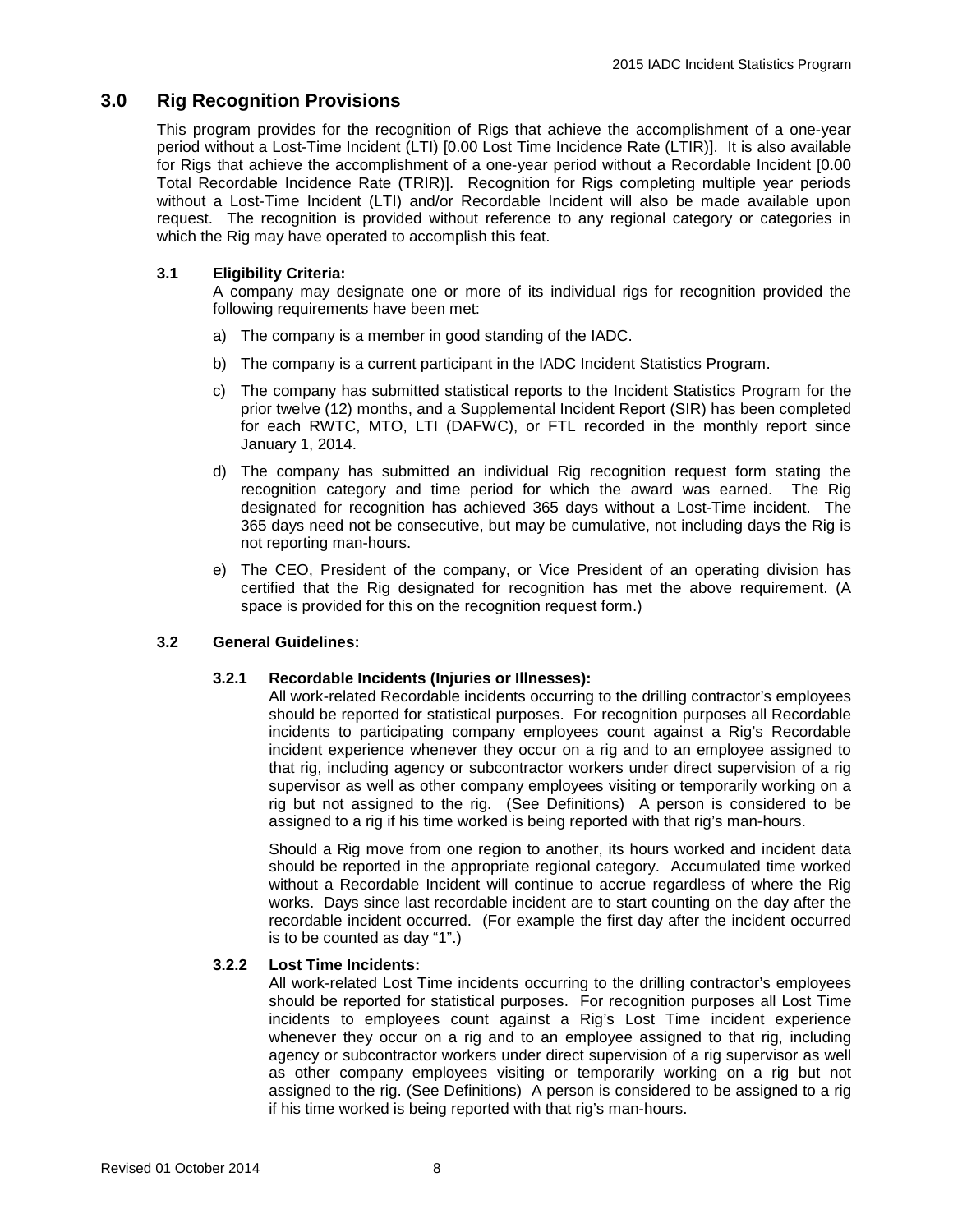# **3.0 Rig Recognition Provisions**

This program provides for the recognition of Rigs that achieve the accomplishment of a one-year period without a Lost-Time Incident (LTI) [0.00 Lost Time Incidence Rate (LTIR)]. It is also available for Rigs that achieve the accomplishment of a one-year period without a Recordable Incident [0.00 Total Recordable Incidence Rate (TRIR)]. Recognition for Rigs completing multiple year periods without a Lost-Time Incident (LTI) and/or Recordable Incident will also be made available upon request. The recognition is provided without reference to any regional category or categories in which the Rig may have operated to accomplish this feat.

# **3.1 Eligibility Criteria:**

A company may designate one or more of its individual rigs for recognition provided the following requirements have been met:

- a) The company is a member in good standing of the IADC.
- b) The company is a current participant in the IADC Incident Statistics Program.
- c) The company has submitted statistical reports to the Incident Statistics Program for the prior twelve (12) months, and a Supplemental Incident Report (SIR) has been completed for each RWTC, MTO, LTI (DAFWC), or FTL recorded in the monthly report since January 1, 2014.
- d) The company has submitted an individual Rig recognition request form stating the recognition category and time period for which the award was earned. The Rig designated for recognition has achieved 365 days without a Lost-Time incident. The 365 days need not be consecutive, but may be cumulative, not including days the Rig is not reporting man-hours.
- e) The CEO, President of the company, or Vice President of an operating division has certified that the Rig designated for recognition has met the above requirement. (A space is provided for this on the recognition request form.)

# **3.2 General Guidelines:**

# **3.2.1 Recordable Incidents (Injuries or Illnesses):**

All work-related Recordable incidents occurring to the drilling contractor's employees should be reported for statistical purposes. For recognition purposes all Recordable incidents to participating company employees count against a Rig's Recordable incident experience whenever they occur on a rig and to an employee assigned to that rig, including agency or subcontractor workers under direct supervision of a rig supervisor as well as other company employees visiting or temporarily working on a rig but not assigned to the rig. (See Definitions) A person is considered to be assigned to a rig if his time worked is being reported with that rig's man-hours.

Should a Rig move from one region to another, its hours worked and incident data should be reported in the appropriate regional category. Accumulated time worked without a Recordable Incident will continue to accrue regardless of where the Rig works. Days since last recordable incident are to start counting on the day after the recordable incident occurred. (For example the first day after the incident occurred is to be counted as day "1".)

# **3.2.2 Lost Time Incidents:**

All work-related Lost Time incidents occurring to the drilling contractor's employees should be reported for statistical purposes. For recognition purposes all Lost Time incidents to employees count against a Rig's Lost Time incident experience whenever they occur on a rig and to an employee assigned to that rig, including agency or subcontractor workers under direct supervision of a rig supervisor as well as other company employees visiting or temporarily working on a rig but not assigned to the rig. (See Definitions) A person is considered to be assigned to a rig if his time worked is being reported with that rig's man-hours.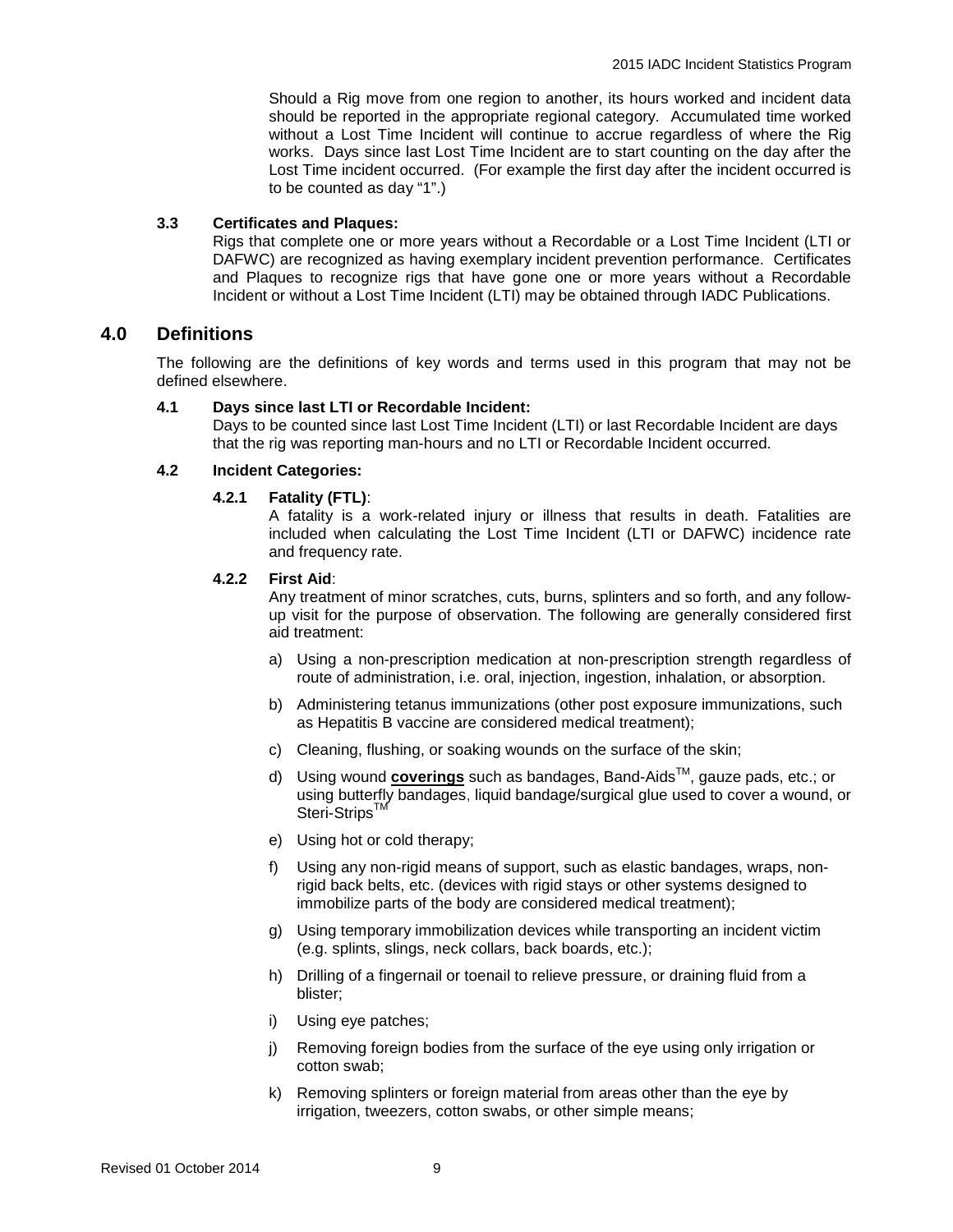Should a Rig move from one region to another, its hours worked and incident data should be reported in the appropriate regional category. Accumulated time worked without a Lost Time Incident will continue to accrue regardless of where the Rig works. Days since last Lost Time Incident are to start counting on the day after the Lost Time incident occurred. (For example the first day after the incident occurred is to be counted as day "1".)

# **3.3 Certificates and Plaques:**

Rigs that complete one or more years without a Recordable or a Lost Time Incident (LTI or DAFWC) are recognized as having exemplary incident prevention performance. Certificates and Plaques to recognize rigs that have gone one or more years without a Recordable Incident or without a Lost Time Incident (LTI) may be obtained through IADC Publications.

# **4.0 Definitions**

The following are the definitions of key words and terms used in this program that may not be defined elsewhere.

# **4.1 Days since last LTI or Recordable Incident:**

Days to be counted since last Lost Time Incident (LTI) or last Recordable Incident are days that the rig was reporting man-hours and no LTI or Recordable Incident occurred.

# **4.2 Incident Categories:**

# **4.2.1 Fatality (FTL)**:

A fatality is a work-related injury or illness that results in death. Fatalities are included when calculating the Lost Time Incident (LTI or DAFWC) incidence rate and frequency rate.

# **4.2.2 First Aid**:

Any treatment of minor scratches, cuts, burns, splinters and so forth, and any followup visit for the purpose of observation. The following are generally considered first aid treatment:

- a) Using a non-prescription medication at non-prescription strength regardless of route of administration, i.e. oral, injection, ingestion, inhalation, or absorption.
- b) Administering tetanus immunizations (other post exposure immunizations, such as Hepatitis B vaccine are considered medical treatment);
- c) Cleaning, flushing, or soaking wounds on the surface of the skin;
- d) Using wound **coverings** such as bandages, Band-AidsTM, gauze pads, etc.; or using butterfly bandages, liquid bandage/surgical glue used to cover a wound, or Steri-Strips<sup>™</sup>
- e) Using hot or cold therapy;
- f) Using any non-rigid means of support, such as elastic bandages, wraps, nonrigid back belts, etc. (devices with rigid stays or other systems designed to immobilize parts of the body are considered medical treatment);
- g) Using temporary immobilization devices while transporting an incident victim (e.g. splints, slings, neck collars, back boards, etc.);
- h) Drilling of a fingernail or toenail to relieve pressure, or draining fluid from a blister;
- i) Using eye patches;
- j) Removing foreign bodies from the surface of the eye using only irrigation or cotton swab;
- k) Removing splinters or foreign material from areas other than the eye by irrigation, tweezers, cotton swabs, or other simple means;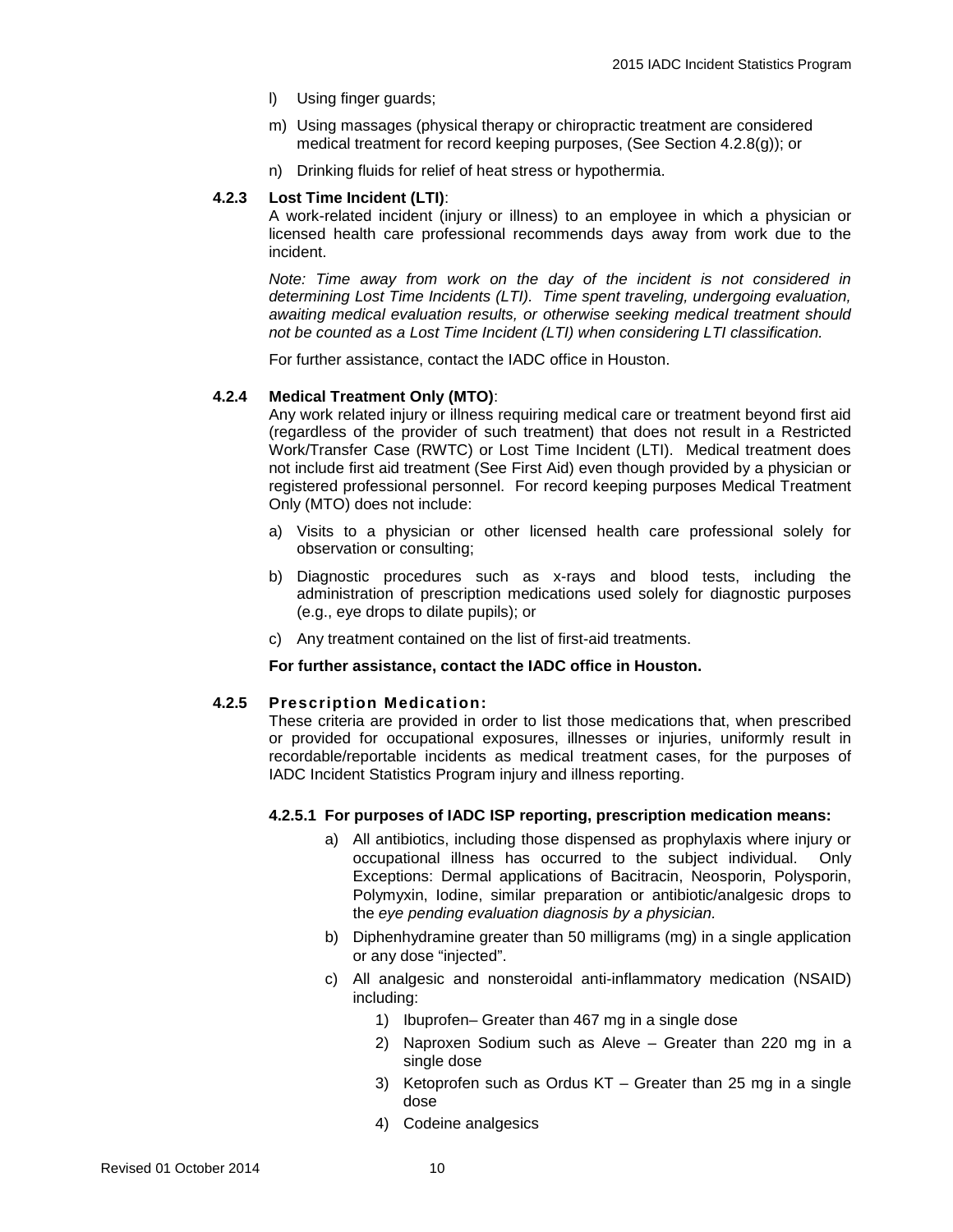- l) Using finger guards;
- m) Using massages (physical therapy or chiropractic treatment are considered medical treatment for record keeping purposes, (See Section 4.2.8(g)); or
- n) Drinking fluids for relief of heat stress or hypothermia.

# **4.2.3 Lost Time Incident (LTI)**:

A work-related incident (injury or illness) to an employee in which a physician or licensed health care professional recommends days away from work due to the incident.

*Note: Time away from work on the day of the incident is not considered in determining Lost Time Incidents (LTI). Time spent traveling, undergoing evaluation, awaiting medical evaluation results, or otherwise seeking medical treatment should not be counted as a Lost Time Incident (LTI) when considering LTI classification.*

For further assistance, contact the IADC office in Houston.

# **4.2.4 Medical Treatment Only (MTO)**:

Any work related injury or illness requiring medical care or treatment beyond first aid (regardless of the provider of such treatment) that does not result in a Restricted Work/Transfer Case (RWTC) or Lost Time Incident (LTI). Medical treatment does not include first aid treatment (See First Aid) even though provided by a physician or registered professional personnel. For record keeping purposes Medical Treatment Only (MTO) does not include:

- a) Visits to a physician or other licensed health care professional solely for observation or consulting;
- b) Diagnostic procedures such as x-rays and blood tests, including the administration of prescription medications used solely for diagnostic purposes (e.g., eye drops to dilate pupils); or
- c) Any treatment contained on the list of first-aid treatments.

# **For further assistance, contact the IADC office in Houston.**

# **4.2.5 Prescription Medication:**

These criteria are provided in order to list those medications that, when prescribed or provided for occupational exposures, illnesses or injuries, uniformly result in recordable/reportable incidents as medical treatment cases, for the purposes of IADC Incident Statistics Program injury and illness reporting.

# **4.2.5.1 For purposes of IADC ISP reporting, prescription medication means:**

- a) All antibiotics, including those dispensed as prophylaxis where injury or occupational illness has occurred to the subject individual. Only Exceptions: Dermal applications of Bacitracin, Neosporin, Polysporin, Polymyxin, Iodine, similar preparation or antibiotic/analgesic drops to the *eye pending evaluation diagnosis by a physician.*
- b) Diphenhydramine greater than 50 milligrams (mg) in a single application or any dose "injected".
- c) All analgesic and nonsteroidal anti-inflammatory medication (NSAID) including:
	- 1) Ibuprofen– Greater than 467 mg in a single dose
	- 2) Naproxen Sodium such as Aleve Greater than 220 mg in a single dose
	- 3) Ketoprofen such as Ordus KT Greater than 25 mg in a single dose
	- 4) Codeine analgesics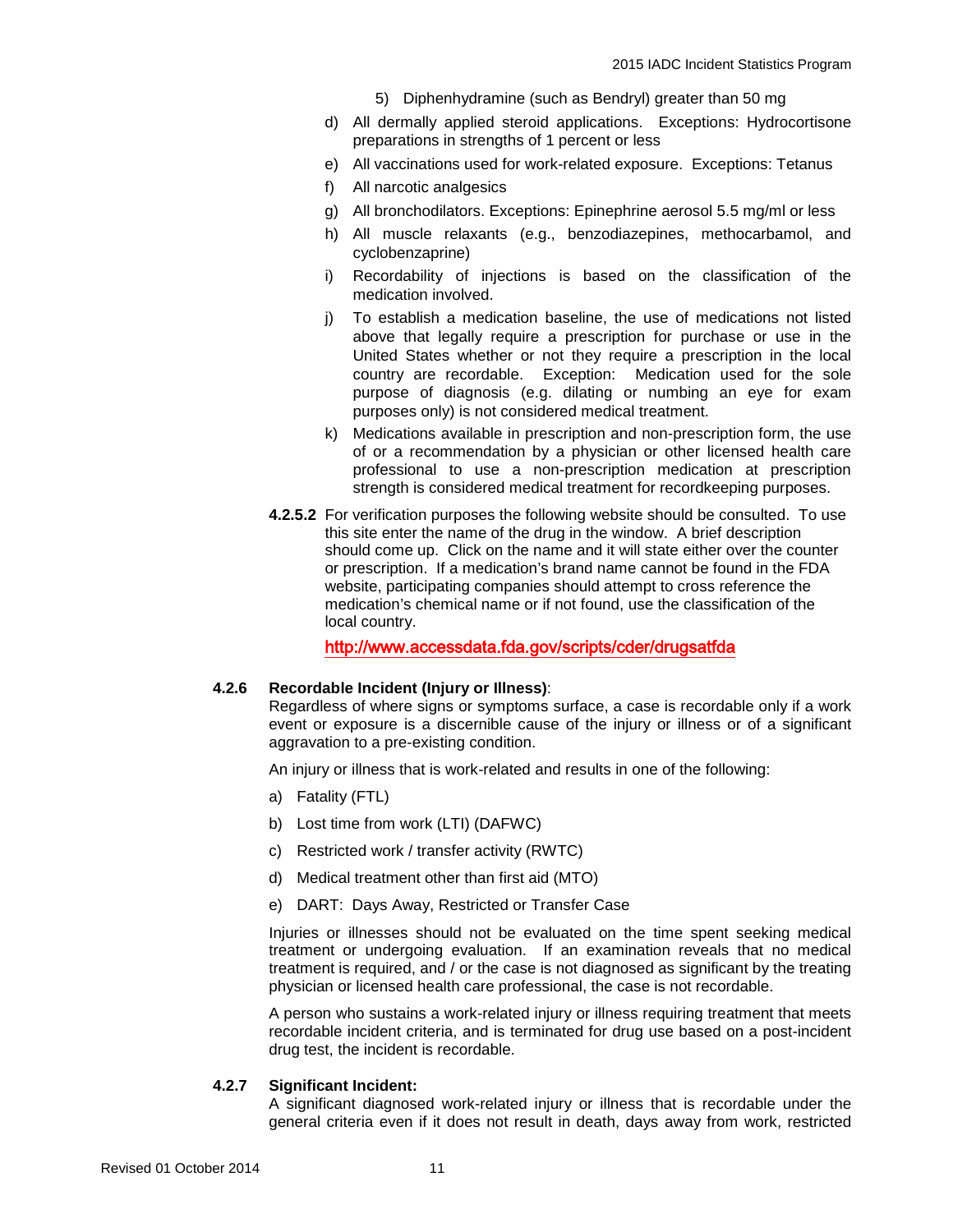- 5) Diphenhydramine (such as Bendryl) greater than 50 mg
- d) All dermally applied steroid applications. Exceptions: Hydrocortisone preparations in strengths of 1 percent or less
- e) All vaccinations used for work-related exposure. Exceptions: Tetanus
- f) All narcotic analgesics
- g) All bronchodilators. Exceptions: Epinephrine aerosol 5.5 mg/ml or less
- h) All muscle relaxants (e.g., benzodiazepines, methocarbamol, and cyclobenzaprine)
- i) Recordability of injections is based on the classification of the medication involved.
- j) To establish a medication baseline, the use of medications not listed above that legally require a prescription for purchase or use in the United States whether or not they require a prescription in the local country are recordable. Exception: Medication used for the sole purpose of diagnosis (e.g. dilating or numbing an eye for exam purposes only) is not considered medical treatment.
- k) Medications available in prescription and non-prescription form, the use of or a recommendation by a physician or other licensed health care professional to use a non-prescription medication at prescription strength is considered medical treatment for recordkeeping purposes.
- **4.2.5.2** For verification purposes the following website should be consulted. To use this site enter the name of the drug in the window. A brief description should come up. Click on the name and it will state either over the counter or prescription. If a medication's brand name cannot be found in the FDA website, participating companies should attempt to cross reference the medication's chemical name or if not found, use the classification of the local country.

<http://www.accessdata.fda.gov/scripts/cder/drugsatfda>

# **4.2.6 Recordable Incident (Injury or Illness)**:

Regardless of where signs or symptoms surface, a case is recordable only if a work event or exposure is a discernible cause of the injury or illness or of a significant aggravation to a pre-existing condition.

An injury or illness that is work-related and results in one of the following:

- a) Fatality (FTL)
- b) Lost time from work (LTI) (DAFWC)
- c) Restricted work / transfer activity (RWTC)
- d) Medical treatment other than first aid (MTO)
- e) DART: Days Away, Restricted or Transfer Case

Injuries or illnesses should not be evaluated on the time spent seeking medical treatment or undergoing evaluation. If an examination reveals that no medical treatment is required, and / or the case is not diagnosed as significant by the treating physician or licensed health care professional, the case is not recordable.

A person who sustains a work-related injury or illness requiring treatment that meets recordable incident criteria, and is terminated for drug use based on a post-incident drug test, the incident is recordable.

# **4.2.7 Significant Incident:**

A significant diagnosed work-related injury or illness that is recordable under the general criteria even if it does not result in death, days away from work, restricted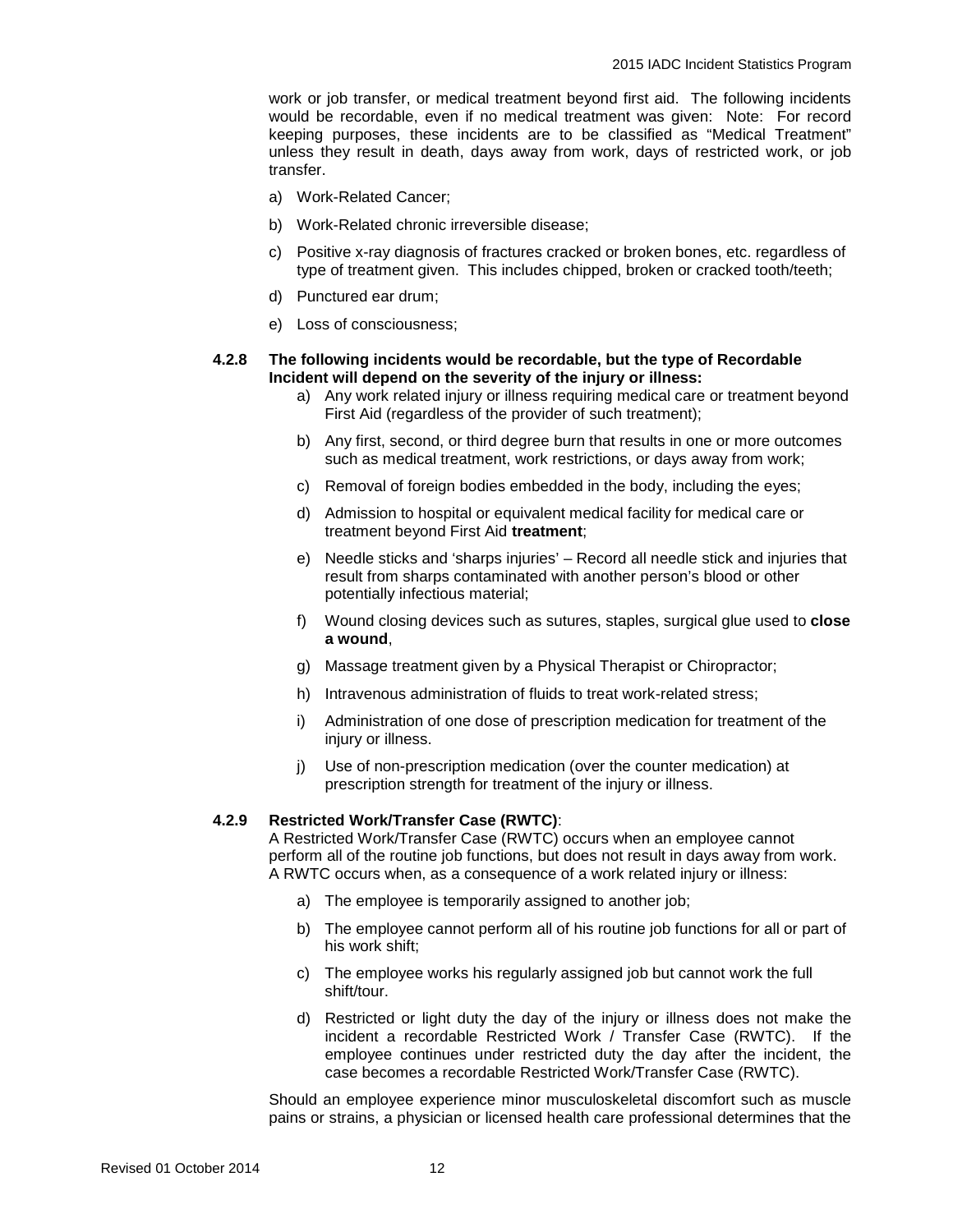work or job transfer, or medical treatment beyond first aid. The following incidents would be recordable, even if no medical treatment was given: Note: For record keeping purposes, these incidents are to be classified as "Medical Treatment" unless they result in death, days away from work, days of restricted work, or job transfer.

- a) Work-Related Cancer;
- b) Work-Related chronic irreversible disease;
- c) Positive x-ray diagnosis of fractures cracked or broken bones, etc. regardless of type of treatment given. This includes chipped, broken or cracked tooth/teeth;
- d) Punctured ear drum;
- e) Loss of consciousness;

# **4.2.8 The following incidents would be recordable, but the type of Recordable Incident will depend on the severity of the injury or illness:**

- a) Any work related injury or illness requiring medical care or treatment beyond First Aid (regardless of the provider of such treatment);
- b) Any first, second, or third degree burn that results in one or more outcomes such as medical treatment, work restrictions, or days away from work;
- c) Removal of foreign bodies embedded in the body, including the eyes;
- d) Admission to hospital or equivalent medical facility for medical care or treatment beyond First Aid **treatment**;
- e) Needle sticks and 'sharps injuries' Record all needle stick and injuries that result from sharps contaminated with another person's blood or other potentially infectious material;
- f) Wound closing devices such as sutures, staples, surgical glue used to **close a wound**,
- g) Massage treatment given by a Physical Therapist or Chiropractor;
- h) Intravenous administration of fluids to treat work-related stress;
- i) Administration of one dose of prescription medication for treatment of the injury or illness.
- j) Use of non-prescription medication (over the counter medication) at prescription strength for treatment of the injury or illness.

# **4.2.9 Restricted Work/Transfer Case (RWTC)**:

A Restricted Work/Transfer Case (RWTC) occurs when an employee cannot perform all of the routine job functions, but does not result in days away from work. A RWTC occurs when, as a consequence of a work related injury or illness:

- a) The employee is temporarily assigned to another job;
- b) The employee cannot perform all of his routine job functions for all or part of his work shift;
- c) The employee works his regularly assigned job but cannot work the full shift/tour.
- d) Restricted or light duty the day of the injury or illness does not make the incident a recordable Restricted Work / Transfer Case (RWTC). If the employee continues under restricted duty the day after the incident, the case becomes a recordable Restricted Work/Transfer Case (RWTC).

Should an employee experience minor musculoskeletal discomfort such as muscle pains or strains, a physician or licensed health care professional determines that the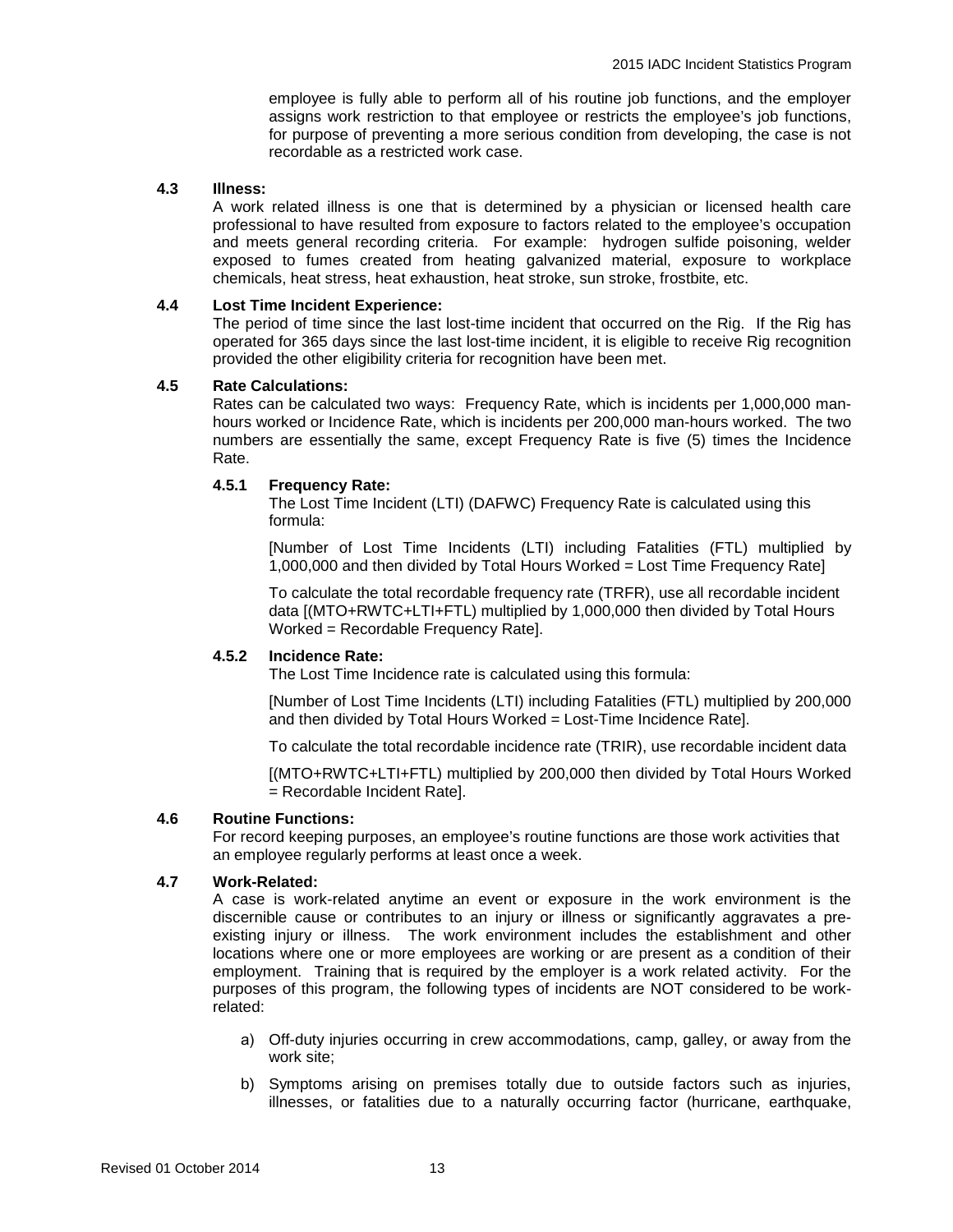employee is fully able to perform all of his routine job functions, and the employer assigns work restriction to that employee or restricts the employee's job functions, for purpose of preventing a more serious condition from developing, the case is not recordable as a restricted work case.

# **4.3 Illness:**

A work related illness is one that is determined by a physician or licensed health care professional to have resulted from exposure to factors related to the employee's occupation and meets general recording criteria. For example: hydrogen sulfide poisoning, welder exposed to fumes created from heating galvanized material, exposure to workplace chemicals, heat stress, heat exhaustion, heat stroke, sun stroke, frostbite, etc.

# **4.4 Lost Time Incident Experience:**

The period of time since the last lost-time incident that occurred on the Rig. If the Rig has operated for 365 days since the last lost-time incident, it is eligible to receive Rig recognition provided the other eligibility criteria for recognition have been met.

# **4.5 Rate Calculations:**

Rates can be calculated two ways: Frequency Rate, which is incidents per 1,000,000 manhours worked or Incidence Rate, which is incidents per 200,000 man-hours worked. The two numbers are essentially the same, except Frequency Rate is five (5) times the Incidence Rate.

# **4.5.1 Frequency Rate:**

The Lost Time Incident (LTI) (DAFWC) Frequency Rate is calculated using this formula:

[Number of Lost Time Incidents (LTI) including Fatalities (FTL) multiplied by 1,000,000 and then divided by Total Hours Worked = Lost Time Frequency Rate]

To calculate the total recordable frequency rate (TRFR), use all recordable incident data [(MTO+RWTC+LTI+FTL) multiplied by 1,000,000 then divided by Total Hours Worked = Recordable Frequency Rate].

# **4.5.2 Incidence Rate:**

The Lost Time Incidence rate is calculated using this formula:

[Number of Lost Time Incidents (LTI) including Fatalities (FTL) multiplied by 200,000 and then divided by Total Hours Worked = Lost-Time Incidence Rate].

To calculate the total recordable incidence rate (TRIR), use recordable incident data

[(MTO+RWTC+LTI+FTL) multiplied by 200,000 then divided by Total Hours Worked = Recordable Incident Rate].

# **4.6 Routine Functions:**

For record keeping purposes, an employee's routine functions are those work activities that an employee regularly performs at least once a week.

# **4.7 Work-Related:**

A case is work-related anytime an event or exposure in the work environment is the discernible cause or contributes to an injury or illness or significantly aggravates a preexisting injury or illness. The work environment includes the establishment and other locations where one or more employees are working or are present as a condition of their employment. Training that is required by the employer is a work related activity. For the purposes of this program, the following types of incidents are NOT considered to be workrelated:

- a) Off-duty injuries occurring in crew accommodations, camp, galley, or away from the work site;
- b) Symptoms arising on premises totally due to outside factors such as injuries, illnesses, or fatalities due to a naturally occurring factor (hurricane, earthquake,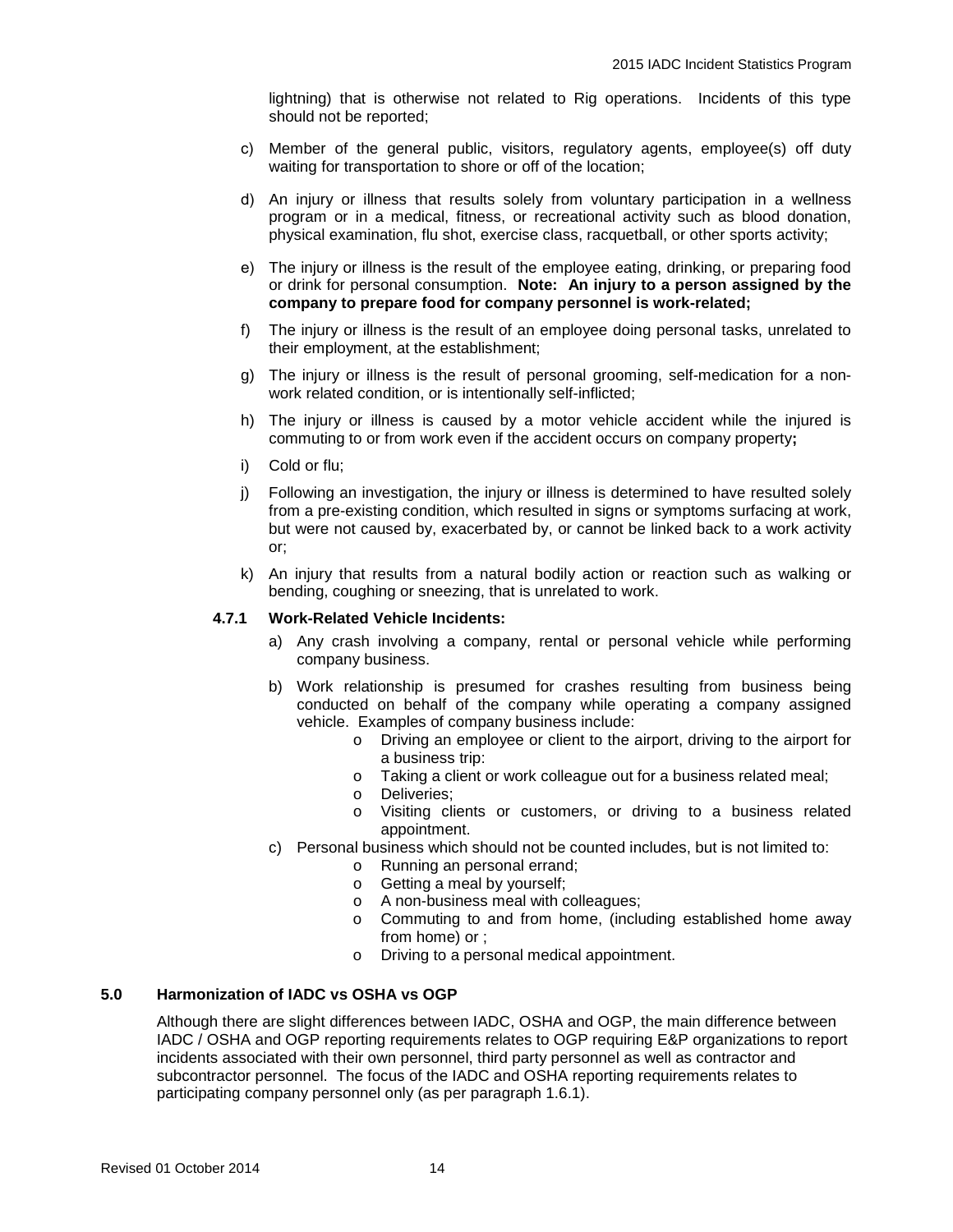lightning) that is otherwise not related to Rig operations. Incidents of this type should not be reported;

- c) Member of the general public, visitors, regulatory agents, employee(s) off duty waiting for transportation to shore or off of the location;
- d) An injury or illness that results solely from voluntary participation in a wellness program or in a medical, fitness, or recreational activity such as blood donation, physical examination, flu shot, exercise class, racquetball, or other sports activity;
- e) The injury or illness is the result of the employee eating, drinking, or preparing food or drink for personal consumption. **Note: An injury to a person assigned by the company to prepare food for company personnel is work-related;**
- f) The injury or illness is the result of an employee doing personal tasks, unrelated to their employment, at the establishment;
- g) The injury or illness is the result of personal grooming, self-medication for a nonwork related condition, or is intentionally self-inflicted;
- h) The injury or illness is caused by a motor vehicle accident while the injured is commuting to or from work even if the accident occurs on company property**;**
- i) Cold or flu;
- j) Following an investigation, the injury or illness is determined to have resulted solely from a pre-existing condition, which resulted in signs or symptoms surfacing at work, but were not caused by, exacerbated by, or cannot be linked back to a work activity or;
- k) An injury that results from a natural bodily action or reaction such as walking or bending, coughing or sneezing, that is unrelated to work.

# **4.7.1 Work-Related Vehicle Incidents:**

- a) Any crash involving a company, rental or personal vehicle while performing company business.
- b) Work relationship is presumed for crashes resulting from business being conducted on behalf of the company while operating a company assigned vehicle. Examples of company business include:
	- o Driving an employee or client to the airport, driving to the airport for a business trip:
	- o Taking a client or work colleague out for a business related meal;
	- o Deliveries;
	- o Visiting clients or customers, or driving to a business related appointment.
- c) Personal business which should not be counted includes, but is not limited to:
	- o Running an personal errand;
	- o Getting a meal by yourself;
	- o A non-business meal with colleagues;
	- o Commuting to and from home, (including established home away from home) or ;
	- o Driving to a personal medical appointment.

# **5.0 Harmonization of IADC vs OSHA vs OGP**

Although there are slight differences between IADC, OSHA and OGP, the main difference between IADC / OSHA and OGP reporting requirements relates to OGP requiring E&P organizations to report incidents associated with their own personnel, third party personnel as well as contractor and subcontractor personnel. The focus of the IADC and OSHA reporting requirements relates to participating company personnel only (as per paragraph 1.6.1).